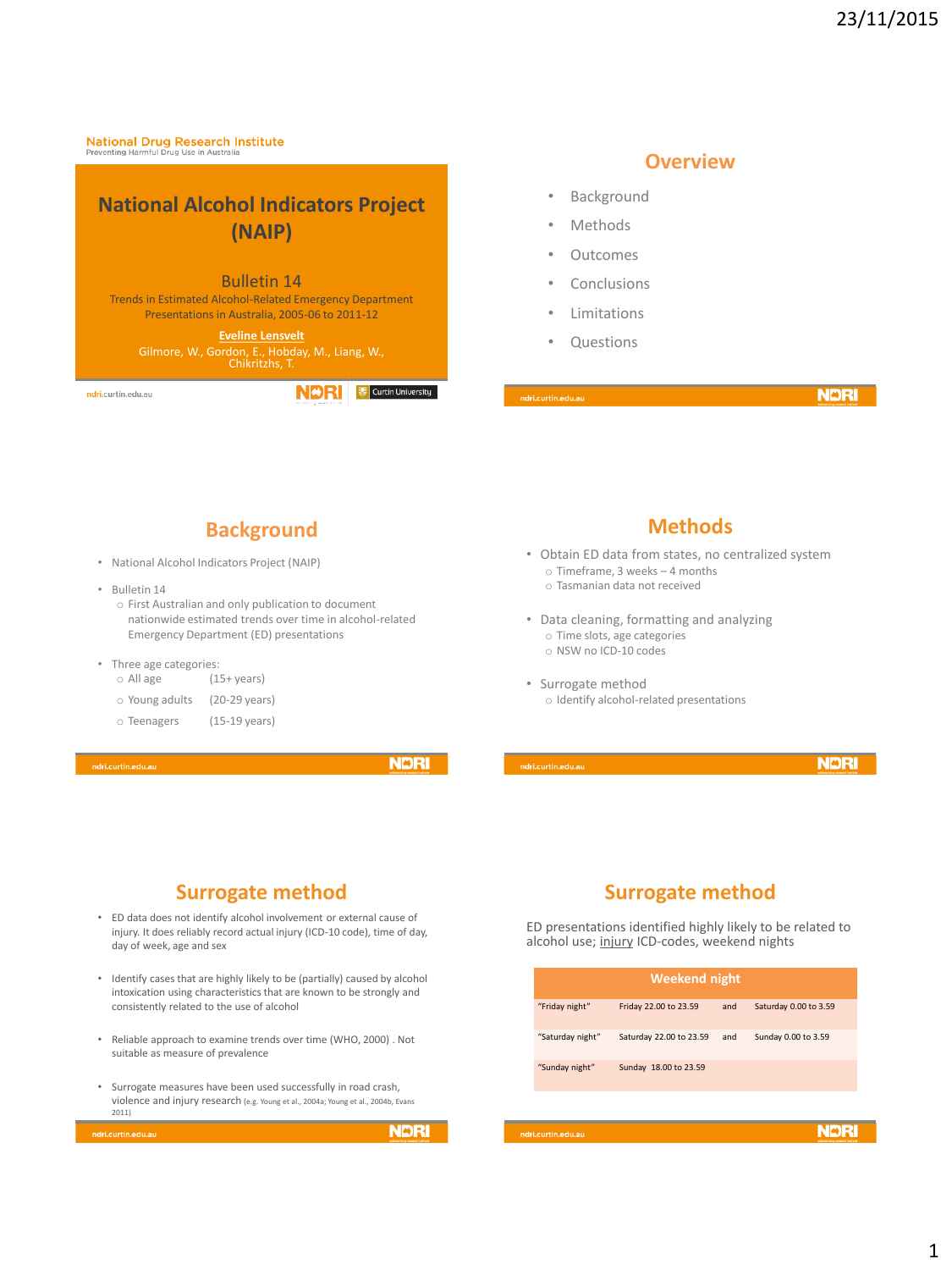**National Drug Research Institute** 

# **National Alcohol Indicators Project (NAIP)**

#### Bulletin 14

Trends in Estimated Alcohol-Related Emergency Department Presentations in Australia, 2005-06 to 2011-12

> **Eveline Lensvelt** Gilmore, W., Gordon, E., Hobday, M., Liang, W., Chikritzhs, T.

ndri.curtin.edu.au

**NDRI** Curtin University

### **Overview**

- Background
- **Methods**
- Outcomes
- **Conclusions**
- **Limitations**
- **Questions**

dri.curtin.edu.at

**NDRI** 

### **Background**

- National Alcohol Indicators Project (NAIP)
- Bulletin 14
	- o First Australian and only publication to document nationwide estimated trends over time in alcohol-related Emergency Department (ED) presentations
- Three age categories:<br>  $\circ$  All age (1)
	- $(15+ \text{years})$
	- o Young adults (20-29 years)
	- o Teenagers (15-19 years)

i.curtin.edu.au

**NDRI** 

### **Methods**

- Obtain ED data from states, no centralized system o Timeframe, 3 weeks – 4 months
	- o Tasmanian data not received
- Data cleaning, formatting and analyzing o Time slots, age categories o NSW no ICD-10 codes
- Surrogate method o Identify alcohol-related presentations

**NDRI** 

## **Surrogate method**

- ED data does not identify alcohol involvement or external cause of injury. It does reliably record actual injury (ICD-10 code), time of day, day of week, age and sex
- Identify cases that are highly likely to be (partially) caused by alcohol intoxication using characteristics that are known to be strongly and consistently related to the use of alcohol
- Reliable approach to examine trends over time (WHO, 2000) . Not suitable as measure of prevalence
- Surrogate measures have been used successfully in road crash, violence and injury research (e.g. Young et al., 2004a; Young et al., 2004b, Evans 2011)

ri.curtin.edu

**NDRI** 

## **Surrogate method**

ED presentations identified highly likely to be related to alcohol use; injury ICD-codes, weekend nights

| <b>Weekend night</b> |                         |     |                       |  |  |
|----------------------|-------------------------|-----|-----------------------|--|--|
| "Friday night"       | Friday 22.00 to 23.59   | and | Saturday 0.00 to 3.59 |  |  |
| "Saturday night"     | Saturday 22.00 to 23.59 | and | Sunday 0.00 to 3.59   |  |  |
| "Sunday night"       | Sunday 18.00 to 23.59   |     |                       |  |  |

lri.curtin.edu.au

**NDRI**